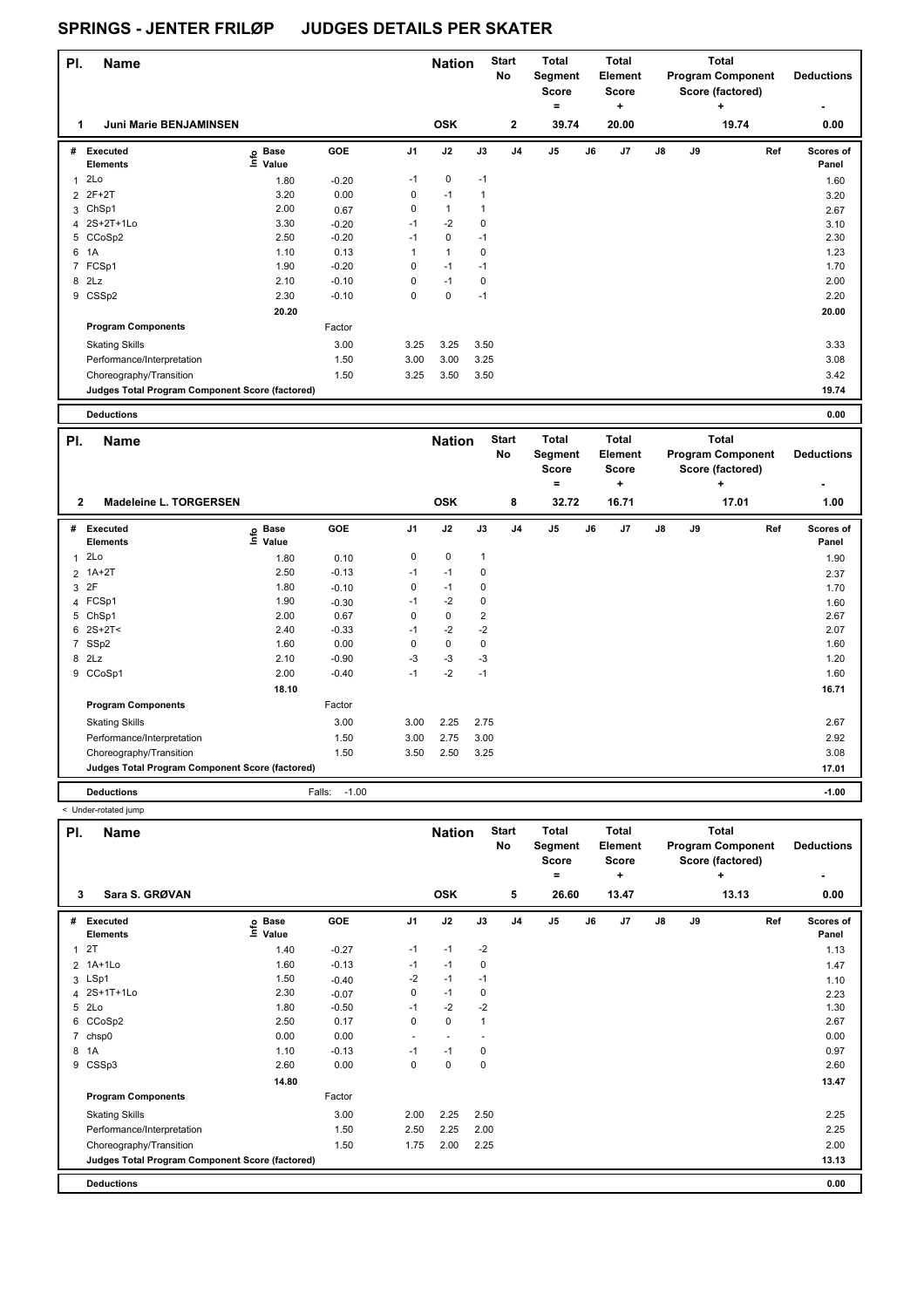| PI. | <b>Name</b>                                     |                                        |            |                | <b>Nation</b>  |              | <b>Start</b><br>No | Total<br>Segment<br>Score<br>٠ |    | <b>Total</b><br>Element<br><b>Score</b><br>٠ |               |    | <b>Total</b><br><b>Program Component</b><br>Score (factored)<br>÷ | <b>Deductions</b><br>۰    |
|-----|-------------------------------------------------|----------------------------------------|------------|----------------|----------------|--------------|--------------------|--------------------------------|----|----------------------------------------------|---------------|----|-------------------------------------------------------------------|---------------------------|
| 1   | <b>Juni Marie BENJAMINSEN</b>                   |                                        |            |                | <b>OSK</b>     |              | $\mathbf{2}$       | 39.74                          |    | 20.00                                        |               |    | 19.74                                                             | 0.00                      |
| #   | Executed<br><b>Elements</b>                     | <b>Base</b><br>$\bullet$<br>Ξ<br>Value | <b>GOE</b> | J <sub>1</sub> | J2             | J3           | J <sub>4</sub>     | J5                             | J6 | J <sub>7</sub>                               | $\mathsf{J}8$ | J9 | Ref                                                               | <b>Scores of</b><br>Panel |
|     | 2Lo                                             | 1.80                                   | $-0.20$    | $-1$           | 0              | $-1$         |                    |                                |    |                                              |               |    |                                                                   | 1.60                      |
|     | 2 2F+2T                                         | 3.20                                   | 0.00       | 0              | $-1$           | $\mathbf{1}$ |                    |                                |    |                                              |               |    |                                                                   | 3.20                      |
|     | 3 ChSp1                                         | 2.00                                   | 0.67       | 0              | $\overline{1}$ |              |                    |                                |    |                                              |               |    |                                                                   | 2.67                      |
|     | 4 2S+2T+1Lo                                     | 3.30                                   | $-0.20$    | $-1$           | $-2$           | 0            |                    |                                |    |                                              |               |    |                                                                   | 3.10                      |
|     | 5 CCoSp2                                        | 2.50                                   | $-0.20$    | $-1$           | 0              | $-1$         |                    |                                |    |                                              |               |    |                                                                   | 2.30                      |
| 6   | 1A                                              | 1.10                                   | 0.13       | $\mathbf{1}$   | $\overline{1}$ | 0            |                    |                                |    |                                              |               |    |                                                                   | 1.23                      |
|     | 7 FCSp1                                         | 1.90                                   | $-0.20$    | 0              | $-1$           | $-1$         |                    |                                |    |                                              |               |    |                                                                   | 1.70                      |
| 8   | 2Lz                                             | 2.10                                   | $-0.10$    | 0              | $-1$           | 0            |                    |                                |    |                                              |               |    |                                                                   | 2.00                      |
|     | 9 CSSp2                                         | 2.30                                   | $-0.10$    | $\mathbf 0$    | $\mathbf 0$    | $-1$         |                    |                                |    |                                              |               |    |                                                                   | 2.20                      |
|     |                                                 | 20.20                                  |            |                |                |              |                    |                                |    |                                              |               |    |                                                                   | 20.00                     |
|     | <b>Program Components</b>                       |                                        | Factor     |                |                |              |                    |                                |    |                                              |               |    |                                                                   |                           |
|     | <b>Skating Skills</b>                           |                                        | 3.00       | 3.25           | 3.25           | 3.50         |                    |                                |    |                                              |               |    |                                                                   | 3.33                      |
|     | Performance/Interpretation                      |                                        | 1.50       | 3.00           | 3.00           | 3.25         |                    |                                |    |                                              |               |    |                                                                   | 3.08                      |
|     | Choreography/Transition                         |                                        | 1.50       | 3.25           | 3.50           | 3.50         |                    |                                |    |                                              |               |    |                                                                   | 3.42                      |
|     | Judges Total Program Component Score (factored) |                                        |            |                |                |              |                    |                                |    |                                              |               |    |                                                                   | 19.74                     |

**Deductions 0.00**

| PI.            | <b>Name</b>                                     |                            |                   |                | <b>Nation</b> |                | <b>Start</b><br><b>No</b> | Total<br>Segment<br><b>Score</b> |    | Total<br>Element<br><b>Score</b> |               |    | <b>Total</b><br><b>Program Component</b><br>Score (factored) | <b>Deductions</b>  |
|----------------|-------------------------------------------------|----------------------------|-------------------|----------------|---------------|----------------|---------------------------|----------------------------------|----|----------------------------------|---------------|----|--------------------------------------------------------------|--------------------|
|                |                                                 |                            |                   |                |               |                |                           | =                                |    | ٠                                |               |    | ÷                                                            |                    |
| $\mathbf{2}$   | Madeleine L. TORGERSEN                          |                            |                   |                | <b>OSK</b>    |                | 8                         | 32.72                            |    | 16.71                            |               |    | 17.01                                                        | 1.00               |
| #              | Executed<br><b>Elements</b>                     | <b>Base</b><br>١m<br>Value | <b>GOE</b>        | J <sub>1</sub> | J2            | J3             | J <sub>4</sub>            | J <sub>5</sub>                   | J6 | J <sub>7</sub>                   | $\mathsf{J}8$ | J9 | Ref                                                          | Scores of<br>Panel |
| $\mathbf{1}$   | 2Lo                                             | 1.80                       | 0.10              | 0              | $\mathbf 0$   | $\mathbf{1}$   |                           |                                  |    |                                  |               |    |                                                              | 1.90               |
| 2              | $1A+2T$                                         | 2.50                       | $-0.13$           | $-1$           | $-1$          | 0              |                           |                                  |    |                                  |               |    |                                                              | 2.37               |
| 3              | 2F                                              | 1.80                       | $-0.10$           | 0              | $-1$          | 0              |                           |                                  |    |                                  |               |    |                                                              | 1.70               |
| 4              | FCSp1                                           | 1.90                       | $-0.30$           | $-1$           | $-2$          | 0              |                           |                                  |    |                                  |               |    |                                                              | 1.60               |
| 5              | ChSp1                                           | 2.00                       | 0.67              | 0              | $\mathbf 0$   | $\overline{2}$ |                           |                                  |    |                                  |               |    |                                                              | 2.67               |
| 6              | $2S+2T<$                                        | 2.40                       | $-0.33$           | -1             | $-2$          | $-2$           |                           |                                  |    |                                  |               |    |                                                              | 2.07               |
| $\overline{7}$ | SSp2                                            | 1.60                       | 0.00              | 0              | $\mathbf 0$   | 0              |                           |                                  |    |                                  |               |    |                                                              | 1.60               |
| 8              | 2Lz                                             | 2.10                       | $-0.90$           | -3             | $-3$          | $-3$           |                           |                                  |    |                                  |               |    |                                                              | 1.20               |
|                | 9 CCoSp1                                        | 2.00                       | $-0.40$           | $-1$           | $-2$          | $-1$           |                           |                                  |    |                                  |               |    |                                                              | 1.60               |
|                |                                                 | 18.10                      |                   |                |               |                |                           |                                  |    |                                  |               |    |                                                              | 16.71              |
|                | <b>Program Components</b>                       |                            | Factor            |                |               |                |                           |                                  |    |                                  |               |    |                                                              |                    |
|                | <b>Skating Skills</b>                           |                            | 3.00              | 3.00           | 2.25          | 2.75           |                           |                                  |    |                                  |               |    |                                                              | 2.67               |
|                | Performance/Interpretation                      |                            | 1.50              | 3.00           | 2.75          | 3.00           |                           |                                  |    |                                  |               |    |                                                              | 2.92               |
|                | Choreography/Transition                         |                            | 1.50              | 3.50           | 2.50          | 3.25           |                           |                                  |    |                                  |               |    |                                                              | 3.08               |
|                | Judges Total Program Component Score (factored) |                            |                   |                |               |                |                           |                                  |    |                                  |               |    |                                                              | 17.01              |
|                | <b>Deductions</b>                               |                            | $-1.00$<br>Falls: |                |               |                |                           |                                  |    |                                  |               |    |                                                              | $-1.00$            |

 $\mathbf{I}$ 

< Under-rotated jump

| PI.          | <b>Name</b>                                     |                            |            |                | <b>Nation</b> |      | <b>Start</b><br>No | <b>Total</b><br>Segment<br><b>Score</b><br>= |    | <b>Total</b><br><b>Element</b><br><b>Score</b><br>٠ |               |    | Total<br><b>Program Component</b><br>Score (factored)<br>÷ | <b>Deductions</b>  |
|--------------|-------------------------------------------------|----------------------------|------------|----------------|---------------|------|--------------------|----------------------------------------------|----|-----------------------------------------------------|---------------|----|------------------------------------------------------------|--------------------|
| 3            | Sara S. GRØVAN                                  |                            |            |                | <b>OSK</b>    |      | 5                  | 26.60                                        |    | 13.47                                               |               |    | 13.13                                                      | 0.00               |
| #            | Executed<br><b>Elements</b>                     | e Base<br>E Value<br>Value | <b>GOE</b> | J <sub>1</sub> | J2            | J3   | J <sub>4</sub>     | J <sub>5</sub>                               | J6 | J7                                                  | $\mathsf{J}8$ | J9 | Ref                                                        | Scores of<br>Panel |
| $\mathbf{1}$ | 2T                                              | 1.40                       | $-0.27$    | $-1$           | $-1$          | $-2$ |                    |                                              |    |                                                     |               |    |                                                            | 1.13               |
|              | 2 1A+1Lo                                        | 1.60                       | $-0.13$    | $-1$           | $-1$          | 0    |                    |                                              |    |                                                     |               |    |                                                            | 1.47               |
|              | 3 LSp1                                          | 1.50                       | $-0.40$    | $-2$           | $-1$          | $-1$ |                    |                                              |    |                                                     |               |    |                                                            | 1.10               |
|              | 4 2S+1T+1Lo                                     | 2.30                       | $-0.07$    | 0              | $-1$          | 0    |                    |                                              |    |                                                     |               |    |                                                            | 2.23               |
|              | 5 2Lo                                           | 1.80                       | $-0.50$    | $-1$           | $-2$          | $-2$ |                    |                                              |    |                                                     |               |    |                                                            | 1.30               |
| 6            | CCoSp2                                          | 2.50                       | 0.17       | 0              | $\mathbf 0$   | 1    |                    |                                              |    |                                                     |               |    |                                                            | 2.67               |
|              | 7 chsp0                                         | 0.00                       | 0.00       | ٠              | ٠             |      |                    |                                              |    |                                                     |               |    |                                                            | 0.00               |
|              | 8 1A                                            | 1.10                       | $-0.13$    | $-1$           | $-1$          | 0    |                    |                                              |    |                                                     |               |    |                                                            | 0.97               |
| 9            | CSSp3                                           | 2.60                       | 0.00       | 0              | $\mathbf 0$   | 0    |                    |                                              |    |                                                     |               |    |                                                            | 2.60               |
|              |                                                 | 14.80                      |            |                |               |      |                    |                                              |    |                                                     |               |    |                                                            | 13.47              |
|              | <b>Program Components</b>                       |                            | Factor     |                |               |      |                    |                                              |    |                                                     |               |    |                                                            |                    |
|              | <b>Skating Skills</b>                           |                            | 3.00       | 2.00           | 2.25          | 2.50 |                    |                                              |    |                                                     |               |    |                                                            | 2.25               |
|              | Performance/Interpretation                      |                            | 1.50       | 2.50           | 2.25          | 2.00 |                    |                                              |    |                                                     |               |    |                                                            | 2.25               |
|              | Choreography/Transition                         |                            | 1.50       | 1.75           | 2.00          | 2.25 |                    |                                              |    |                                                     |               |    |                                                            | 2.00               |
|              | Judges Total Program Component Score (factored) |                            |            |                |               |      |                    |                                              |    |                                                     |               |    |                                                            | 13.13              |
|              | <b>Deductions</b>                               |                            |            |                |               |      |                    |                                              |    |                                                     |               |    |                                                            | 0.00               |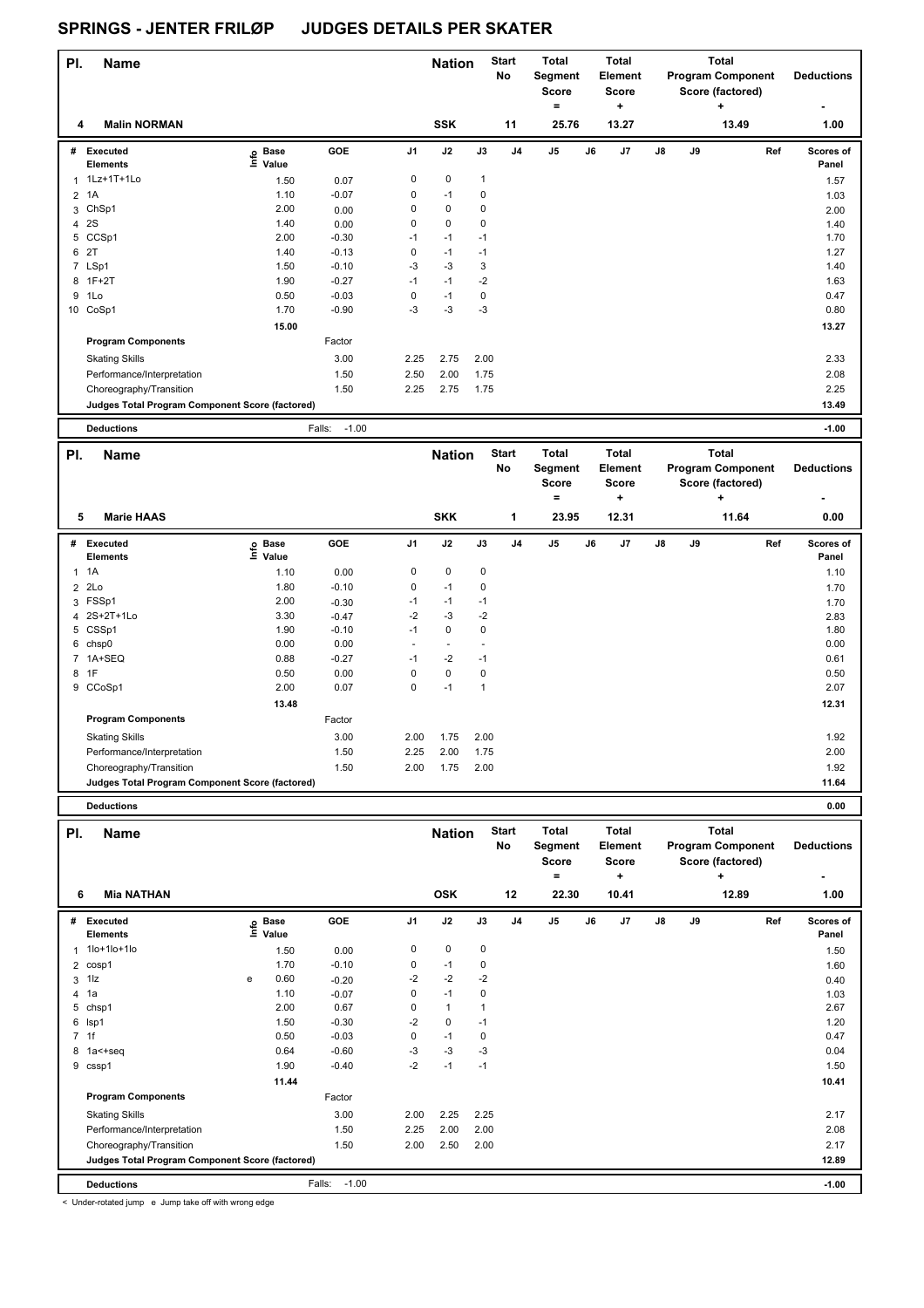| PI. | <b>Name</b>                                     |                            |                   |                | <b>Nation</b> |              | <b>Start</b><br>No | <b>Total</b><br>Segment<br><b>Score</b><br>= |    | <b>Total</b><br>Element<br><b>Score</b><br>٠ |               |    | <b>Total</b><br><b>Program Component</b><br>Score (factored)<br>٠ | <b>Deductions</b>  |
|-----|-------------------------------------------------|----------------------------|-------------------|----------------|---------------|--------------|--------------------|----------------------------------------------|----|----------------------------------------------|---------------|----|-------------------------------------------------------------------|--------------------|
| 4   | <b>Malin NORMAN</b>                             |                            |                   |                | <b>SSK</b>    |              | 11                 | 25.76                                        |    | 13.27                                        |               |    | 13.49                                                             | 1.00               |
| #   | Executed<br><b>Elements</b>                     | © Base<br>E Value<br>Value | GOE               | J <sub>1</sub> | J2            | J3           | J <sub>4</sub>     | J <sub>5</sub>                               | J6 | J7                                           | $\mathsf{J}8$ | J9 | Ref                                                               | Scores of<br>Panel |
| 1   | 1Lz+1T+1Lo                                      | 1.50                       | 0.07              | 0              | $\mathbf 0$   | $\mathbf{1}$ |                    |                                              |    |                                              |               |    |                                                                   | 1.57               |
|     | 2 1A                                            | 1.10                       | $-0.07$           | 0              | $-1$          | 0            |                    |                                              |    |                                              |               |    |                                                                   | 1.03               |
| 3   | ChSp1                                           | 2.00                       | 0.00              | 0              | 0             | 0            |                    |                                              |    |                                              |               |    |                                                                   | 2.00               |
| 4   | 2S                                              | 1.40                       | 0.00              | 0              | 0             | 0            |                    |                                              |    |                                              |               |    |                                                                   | 1.40               |
| 5   | CCSp1                                           | 2.00                       | $-0.30$           | $-1$           | $-1$          | $-1$         |                    |                                              |    |                                              |               |    |                                                                   | 1.70               |
| 6   | 2T                                              | 1.40                       | $-0.13$           | 0              | $-1$          | $-1$         |                    |                                              |    |                                              |               |    |                                                                   | 1.27               |
|     | 7 LSp1                                          | 1.50                       | $-0.10$           | $-3$           | $-3$          | 3            |                    |                                              |    |                                              |               |    |                                                                   | 1.40               |
|     | 8 1F+2T                                         | 1.90                       | $-0.27$           | $-1$           | $-1$          | $-2$         |                    |                                              |    |                                              |               |    |                                                                   | 1.63               |
| 9   | 1Lo                                             | 0.50                       | $-0.03$           | 0              | $-1$          | 0            |                    |                                              |    |                                              |               |    |                                                                   | 0.47               |
| 10  | CoSp1                                           | 1.70                       | $-0.90$           | $-3$           | $-3$          | -3           |                    |                                              |    |                                              |               |    |                                                                   | 0.80               |
|     |                                                 | 15.00                      |                   |                |               |              |                    |                                              |    |                                              |               |    |                                                                   | 13.27              |
|     | <b>Program Components</b>                       |                            | Factor            |                |               |              |                    |                                              |    |                                              |               |    |                                                                   |                    |
|     | <b>Skating Skills</b>                           |                            | 3.00              | 2.25           | 2.75          | 2.00         |                    |                                              |    |                                              |               |    |                                                                   | 2.33               |
|     | Performance/Interpretation                      |                            | 1.50              | 2.50           | 2.00          | 1.75         |                    |                                              |    |                                              |               |    |                                                                   | 2.08               |
|     | Choreography/Transition                         |                            | 1.50              | 2.25           | 2.75          | 1.75         |                    |                                              |    |                                              |               |    |                                                                   | 2.25               |
|     | Judges Total Program Component Score (factored) |                            |                   |                |               |              |                    |                                              |    |                                              |               |    |                                                                   | 13.49              |
|     | <b>Deductions</b>                               |                            | $-1.00$<br>Falls: |                |               |              |                    |                                              |    |                                              |               |    |                                                                   | $-1.00$            |

| PI. | <b>Name</b>                                     |                                                          |         |                          | <b>Nation</b> |              | <b>Start</b><br>No | <b>Total</b><br>Segment<br><b>Score</b><br>$\equiv$ |    | <b>Total</b><br><b>Element</b><br><b>Score</b><br>٠ |               |    | <b>Total</b><br><b>Program Component</b><br>Score (factored)<br>٠ | <b>Deductions</b>         |
|-----|-------------------------------------------------|----------------------------------------------------------|---------|--------------------------|---------------|--------------|--------------------|-----------------------------------------------------|----|-----------------------------------------------------|---------------|----|-------------------------------------------------------------------|---------------------------|
| 5   | <b>Marie HAAS</b>                               |                                                          |         |                          | <b>SKK</b>    |              | 1                  | 23.95                                               |    | 12.31                                               |               |    | 11.64                                                             | 0.00                      |
| #   | Executed<br><b>Elements</b>                     | <b>Base</b><br>$\mathop{\mathsf{Int}}\nolimits$<br>Value | GOE     | J <sub>1</sub>           | J2            | J3           | J <sub>4</sub>     | J <sub>5</sub>                                      | J6 | J <sub>7</sub>                                      | $\mathsf{J}8$ | J9 | Ref                                                               | <b>Scores of</b><br>Panel |
|     | $1 \t1A$                                        | 1.10                                                     | 0.00    | 0                        | $\mathbf 0$   | $\mathbf 0$  |                    |                                                     |    |                                                     |               |    |                                                                   | 1.10                      |
|     | $2$ $2Lo$                                       | 1.80                                                     | $-0.10$ | 0                        | $-1$          | 0            |                    |                                                     |    |                                                     |               |    |                                                                   | 1.70                      |
|     | 3 FSSp1                                         | 2.00                                                     | $-0.30$ | $-1$                     | $-1$          | $-1$         |                    |                                                     |    |                                                     |               |    |                                                                   | 1.70                      |
|     | 4 2S+2T+1Lo                                     | 3.30                                                     | $-0.47$ | $-2$                     | $-3$          | $-2$         |                    |                                                     |    |                                                     |               |    |                                                                   | 2.83                      |
|     | 5 CSSp1                                         | 1.90                                                     | $-0.10$ | $-1$                     | 0             | 0            |                    |                                                     |    |                                                     |               |    |                                                                   | 1.80                      |
|     | 6 chsp0                                         | 0.00                                                     | 0.00    | $\overline{\phantom{a}}$ | $\sim$        |              |                    |                                                     |    |                                                     |               |    |                                                                   | 0.00                      |
|     | 7 1A+SEQ                                        | 0.88                                                     | $-0.27$ | $-1$                     | $-2$          | $-1$         |                    |                                                     |    |                                                     |               |    |                                                                   | 0.61                      |
|     | 8 1F                                            | 0.50                                                     | 0.00    | 0                        | $\mathbf 0$   | $\mathbf 0$  |                    |                                                     |    |                                                     |               |    |                                                                   | 0.50                      |
| 9   | CCoSp1                                          | 2.00                                                     | 0.07    | 0                        | $-1$          | $\mathbf{1}$ |                    |                                                     |    |                                                     |               |    |                                                                   | 2.07                      |
|     |                                                 | 13.48                                                    |         |                          |               |              |                    |                                                     |    |                                                     |               |    |                                                                   | 12.31                     |
|     | <b>Program Components</b>                       |                                                          | Factor  |                          |               |              |                    |                                                     |    |                                                     |               |    |                                                                   |                           |
|     | <b>Skating Skills</b>                           |                                                          | 3.00    | 2.00                     | 1.75          | 2.00         |                    |                                                     |    |                                                     |               |    |                                                                   | 1.92                      |
|     | Performance/Interpretation                      |                                                          | 1.50    | 2.25                     | 2.00          | 1.75         |                    |                                                     |    |                                                     |               |    |                                                                   | 2.00                      |
|     | Choreography/Transition                         |                                                          | 1.50    | 2.00                     | 1.75          | 2.00         |                    |                                                     |    |                                                     |               |    |                                                                   | 1.92                      |
|     | Judges Total Program Component Score (factored) |                                                          |         |                          |               |              |                    |                                                     |    |                                                     |               |    |                                                                   | 11.64                     |

**Deductions 0.00**

|                | <b>Deductions</b>                               |   |                   |                   |                |                             |              |                                 |                                                       |    |                                                       |               |    |                                                                            | 0.00                      |
|----------------|-------------------------------------------------|---|-------------------|-------------------|----------------|-----------------------------|--------------|---------------------------------|-------------------------------------------------------|----|-------------------------------------------------------|---------------|----|----------------------------------------------------------------------------|---------------------------|
| PI.<br>6       | <b>Name</b><br><b>Mia NATHAN</b>                |   |                   |                   |                | <b>Nation</b><br><b>OSK</b> |              | <b>Start</b><br><b>No</b><br>12 | <b>Total</b><br>Segment<br><b>Score</b><br>۰<br>22.30 |    | <b>Total</b><br>Element<br><b>Score</b><br>÷<br>10.41 |               |    | <b>Total</b><br><b>Program Component</b><br>Score (factored)<br>÷<br>12.89 | <b>Deductions</b><br>1.00 |
| #              | <b>Executed</b><br><b>Elements</b>              |   | e Base<br>⊆ Value | GOE               | J <sub>1</sub> | J2                          | J3           | J <sub>4</sub>                  | J <sub>5</sub>                                        | J6 | J <sub>7</sub>                                        | $\mathsf{J}8$ | J9 | Ref                                                                        | Scores of<br>Panel        |
| 1              | $1 o+1 o+1 o$                                   |   | 1.50              | 0.00              | 0              | $\mathbf 0$                 | 0            |                                 |                                                       |    |                                                       |               |    |                                                                            | 1.50                      |
| $\overline{2}$ | cosp1                                           |   | 1.70              | $-0.10$           | 0              | $-1$                        | 0            |                                 |                                                       |    |                                                       |               |    |                                                                            | 1.60                      |
| 3              | $1\overline{z}$                                 | e | 0.60              | $-0.20$           | $-2$           | $-2$                        | $-2$         |                                 |                                                       |    |                                                       |               |    |                                                                            | 0.40                      |
| 4              | 1a                                              |   | 1.10              | $-0.07$           | 0              | $-1$                        | $\mathbf 0$  |                                 |                                                       |    |                                                       |               |    |                                                                            | 1.03                      |
| 5              | chsp1                                           |   | 2.00              | 0.67              | 0              | $\mathbf{1}$                | $\mathbf{1}$ |                                 |                                                       |    |                                                       |               |    |                                                                            | 2.67                      |
| 6              | Isp1                                            |   | 1.50              | $-0.30$           | $-2$           | $\mathbf 0$                 | $-1$         |                                 |                                                       |    |                                                       |               |    |                                                                            | 1.20                      |
| $\overline{7}$ | 1f                                              |   | 0.50              | $-0.03$           | 0              | $-1$                        | 0            |                                 |                                                       |    |                                                       |               |    |                                                                            | 0.47                      |
| 8              | $1a < +seq$                                     |   | 0.64              | $-0.60$           | $-3$           | $-3$                        | $-3$         |                                 |                                                       |    |                                                       |               |    |                                                                            | 0.04                      |
| 9              | cssp1                                           |   | 1.90              | $-0.40$           | $-2$           | $-1$                        | $-1$         |                                 |                                                       |    |                                                       |               |    |                                                                            | 1.50                      |
|                |                                                 |   | 11.44             |                   |                |                             |              |                                 |                                                       |    |                                                       |               |    |                                                                            | 10.41                     |
|                | <b>Program Components</b>                       |   |                   | Factor            |                |                             |              |                                 |                                                       |    |                                                       |               |    |                                                                            |                           |
|                | <b>Skating Skills</b>                           |   |                   | 3.00              | 2.00           | 2.25                        | 2.25         |                                 |                                                       |    |                                                       |               |    |                                                                            | 2.17                      |
|                | Performance/Interpretation                      |   |                   | 1.50              | 2.25           | 2.00                        | 2.00         |                                 |                                                       |    |                                                       |               |    |                                                                            | 2.08                      |
|                | Choreography/Transition                         |   |                   | 1.50              | 2.00           | 2.50                        | 2.00         |                                 |                                                       |    |                                                       |               |    |                                                                            | 2.17                      |
|                | Judges Total Program Component Score (factored) |   |                   |                   |                |                             |              |                                 |                                                       |    |                                                       |               |    |                                                                            | 12.89                     |
|                | <b>Deductions</b>                               |   |                   | $-1.00$<br>Falls: |                |                             |              |                                 |                                                       |    |                                                       |               |    |                                                                            | $-1.00$                   |

< Under-rotated jump e Jump take off with wrong edge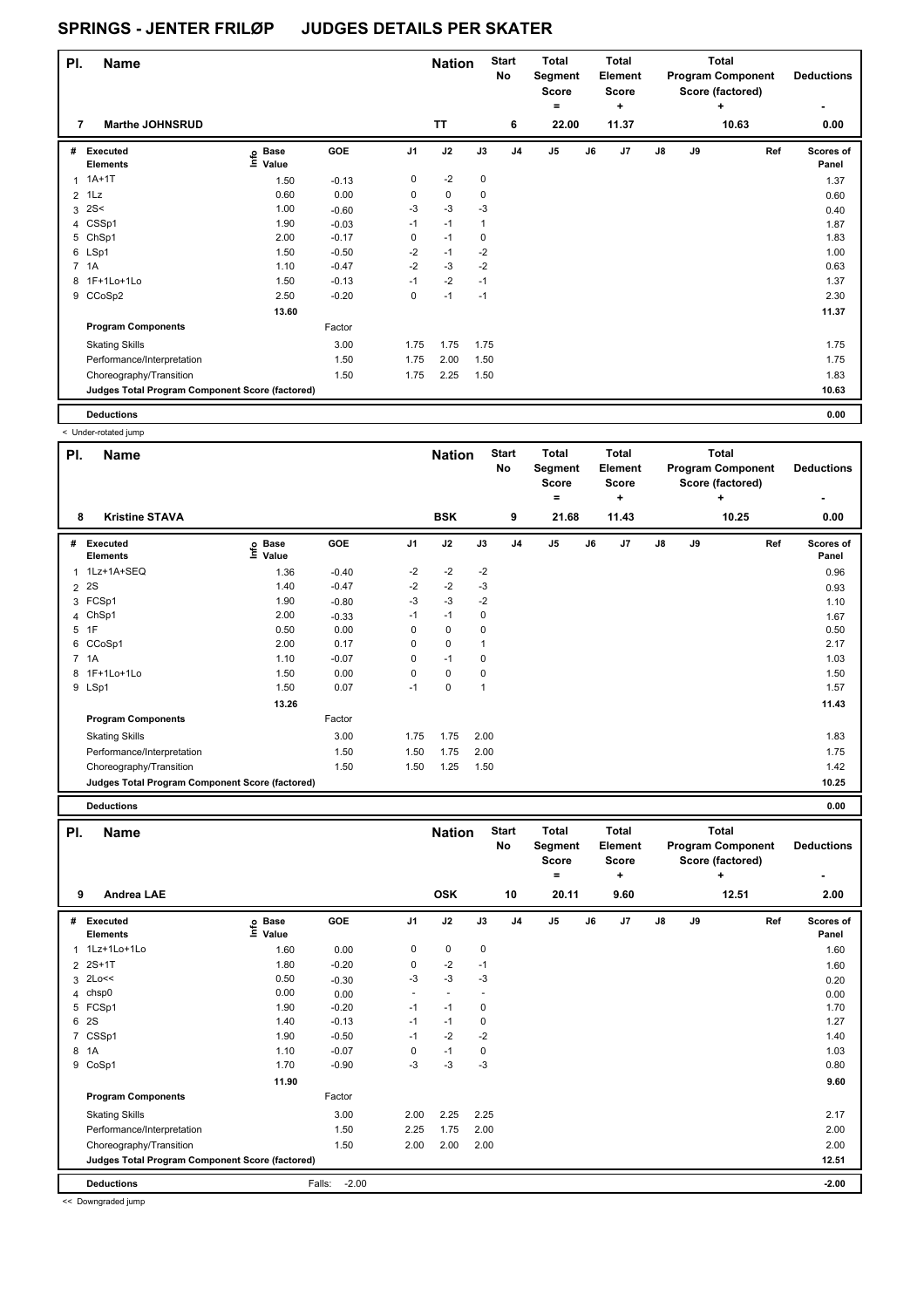| PI.<br><b>Name</b>                              |                                       |         |                | <b>Nation</b> |             | <b>Start</b><br>No | <b>Total</b><br>Segment<br><b>Score</b><br>۰ |    | Total<br>Element<br><b>Score</b><br>٠ |               |    | Total<br><b>Program Component</b><br>Score (factored)<br>٠ | <b>Deductions</b>  |
|-------------------------------------------------|---------------------------------------|---------|----------------|---------------|-------------|--------------------|----------------------------------------------|----|---------------------------------------|---------------|----|------------------------------------------------------------|--------------------|
| <b>Marthe JOHNSRUD</b><br>7                     |                                       |         |                | <b>TT</b>     |             | 6                  | 22.00                                        |    | 11.37                                 |               |    | 10.63                                                      | 0.00               |
| #<br>Executed<br><b>Elements</b>                | <b>Base</b><br>$\circ$<br>Ě.<br>Value | GOE     | J <sub>1</sub> | J2            | J3          | J <sub>4</sub>     | J <sub>5</sub>                               | J6 | J7                                    | $\mathsf{J}8$ | J9 | Ref                                                        | Scores of<br>Panel |
| $1A+1T$                                         | 1.50                                  | $-0.13$ | 0              | $-2$          | $\mathbf 0$ |                    |                                              |    |                                       |               |    |                                                            | 1.37               |
| $2$ 1Lz                                         | 0.60                                  | 0.00    | 0              | $\mathbf 0$   | 0           |                    |                                              |    |                                       |               |    |                                                            | 0.60               |
| 2S<<br>3                                        | 1.00                                  | $-0.60$ | $-3$           | $-3$          | $-3$        |                    |                                              |    |                                       |               |    |                                                            | 0.40               |
| 4 CSSp1                                         | 1.90                                  | $-0.03$ | $-1$           | $-1$          | 1           |                    |                                              |    |                                       |               |    |                                                            | 1.87               |
| 5 ChSp1                                         | 2.00                                  | $-0.17$ | $\mathbf 0$    | $-1$          | 0           |                    |                                              |    |                                       |               |    |                                                            | 1.83               |
| 6 LSp1                                          | 1.50                                  | $-0.50$ | $-2$           | $-1$          | $-2$        |                    |                                              |    |                                       |               |    |                                                            | 1.00               |
| 7 1A                                            | 1.10                                  | $-0.47$ | $-2$           | $-3$          | $-2$        |                    |                                              |    |                                       |               |    |                                                            | 0.63               |
| 8 1F+1Lo+1Lo                                    | 1.50                                  | $-0.13$ | $-1$           | $-2$          | $-1$        |                    |                                              |    |                                       |               |    |                                                            | 1.37               |
| 9 CCoSp2                                        | 2.50                                  | $-0.20$ | 0              | $-1$          | $-1$        |                    |                                              |    |                                       |               |    |                                                            | 2.30               |
|                                                 | 13.60                                 |         |                |               |             |                    |                                              |    |                                       |               |    |                                                            | 11.37              |
| <b>Program Components</b>                       |                                       | Factor  |                |               |             |                    |                                              |    |                                       |               |    |                                                            |                    |
| <b>Skating Skills</b>                           |                                       | 3.00    | 1.75           | 1.75          | 1.75        |                    |                                              |    |                                       |               |    |                                                            | 1.75               |
| Performance/Interpretation                      |                                       | 1.50    | 1.75           | 2.00          | 1.50        |                    |                                              |    |                                       |               |    |                                                            | 1.75               |
| Choreography/Transition                         |                                       | 1.50    | 1.75           | 2.25          | 1.50        |                    |                                              |    |                                       |               |    |                                                            | 1.83               |
| Judges Total Program Component Score (factored) |                                       |         |                |               |             |                    |                                              |    |                                       |               |    |                                                            | 10.63              |
| <b>Deductions</b>                               |                                       |         |                |               |             |                    |                                              |    |                                       |               |    |                                                            | 0.00               |

< Under-rotated jump

| PI. | <b>Name</b>                                     |                            |         |                | <b>Nation</b> |      | <b>Start</b><br>No | <b>Total</b><br>Segment<br><b>Score</b> |    | <b>Total</b><br>Element<br><b>Score</b> |               |    | <b>Total</b><br><b>Program Component</b><br>Score (factored) | <b>Deductions</b>  |
|-----|-------------------------------------------------|----------------------------|---------|----------------|---------------|------|--------------------|-----------------------------------------|----|-----------------------------------------|---------------|----|--------------------------------------------------------------|--------------------|
| 8   | <b>Kristine STAVA</b>                           |                            |         |                | <b>BSK</b>    |      | 9                  | $=$<br>21.68                            |    | ÷<br>11.43                              |               |    | ÷<br>10.25                                                   | 0.00               |
| #   | <b>Executed</b><br><b>Elements</b>              | e Base<br>E Value<br>Value | GOE     | J <sub>1</sub> | J2            | J3   | J <sub>4</sub>     | J <sub>5</sub>                          | J6 | J7                                      | $\mathsf{J}8$ | J9 | Ref                                                          | Scores of<br>Panel |
|     | 1 1Lz+1A+SEQ                                    | 1.36                       | $-0.40$ | $-2$           | $-2$          | $-2$ |                    |                                         |    |                                         |               |    |                                                              | 0.96               |
|     | 2 <sup>2</sup> S                                | 1.40                       | $-0.47$ | $-2$           | $-2$          | -3   |                    |                                         |    |                                         |               |    |                                                              | 0.93               |
|     | 3 FCSp1                                         | 1.90                       | $-0.80$ | -3             | $-3$          | $-2$ |                    |                                         |    |                                         |               |    |                                                              | 1.10               |
| 4   | ChSp1                                           | 2.00                       | $-0.33$ | $-1$           | $-1$          | 0    |                    |                                         |    |                                         |               |    |                                                              | 1.67               |
|     | 5 1F                                            | 0.50                       | 0.00    | 0              | 0             | 0    |                    |                                         |    |                                         |               |    |                                                              | 0.50               |
| 6   | CCoSp1                                          | 2.00                       | 0.17    | 0              | $\mathbf 0$   |      |                    |                                         |    |                                         |               |    |                                                              | 2.17               |
|     | 7 1A                                            | 1.10                       | $-0.07$ | 0              | $-1$          | 0    |                    |                                         |    |                                         |               |    |                                                              | 1.03               |
|     | 8 1F+1Lo+1Lo                                    | 1.50                       | 0.00    | 0              | $\mathbf 0$   | 0    |                    |                                         |    |                                         |               |    |                                                              | 1.50               |
|     | 9 LSp1                                          | 1.50                       | 0.07    | $-1$           | $\pmb{0}$     |      |                    |                                         |    |                                         |               |    |                                                              | 1.57               |
|     |                                                 | 13.26                      |         |                |               |      |                    |                                         |    |                                         |               |    |                                                              | 11.43              |
|     | <b>Program Components</b>                       |                            | Factor  |                |               |      |                    |                                         |    |                                         |               |    |                                                              |                    |
|     | <b>Skating Skills</b>                           |                            | 3.00    | 1.75           | 1.75          | 2.00 |                    |                                         |    |                                         |               |    |                                                              | 1.83               |
|     | Performance/Interpretation                      |                            | 1.50    | 1.50           | 1.75          | 2.00 |                    |                                         |    |                                         |               |    |                                                              | 1.75               |
|     | Choreography/Transition                         |                            | 1.50    | 1.50           | 1.25          | 1.50 |                    |                                         |    |                                         |               |    |                                                              | 1.42               |
|     | Judges Total Program Component Score (factored) |                            |         |                |               |      |                    |                                         |    |                                         |               |    |                                                              | 10.25              |
|     |                                                 |                            |         |                |               |      |                    |                                         |    |                                         |               |    |                                                              |                    |

**Deductions 0.00**

| PI. | <b>Name</b>                                     |                            |                   |                          | <b>Nation</b>            |      | <b>Start</b><br>No | <b>Total</b><br>Segment<br><b>Score</b><br>٠ |    | <b>Total</b><br>Element<br><b>Score</b> |               |    | <b>Total</b><br><b>Program Component</b><br>Score (factored) | <b>Deductions</b>  |
|-----|-------------------------------------------------|----------------------------|-------------------|--------------------------|--------------------------|------|--------------------|----------------------------------------------|----|-----------------------------------------|---------------|----|--------------------------------------------------------------|--------------------|
| 9   | <b>Andrea LAE</b>                               |                            |                   |                          | <b>OSK</b>               |      | 10                 | 20.11                                        |    | ٠<br>9.60                               |               |    | ٠<br>12.51                                                   | 2.00               |
| #   | Executed<br><b>Elements</b>                     | <b>Base</b><br>۴ů<br>Value | GOE               | J <sub>1</sub>           | J2                       | J3   | J <sub>4</sub>     | J <sub>5</sub>                               | J6 | J7                                      | $\mathsf{J}8$ | J9 | Ref                                                          | Scores of<br>Panel |
| 1   | 1Lz+1Lo+1Lo                                     | 1.60                       | 0.00              | 0                        | 0                        | 0    |                    |                                              |    |                                         |               |    |                                                              | 1.60               |
|     | 2 2S+1T                                         | 1.80                       | $-0.20$           | 0                        | $-2$                     | $-1$ |                    |                                              |    |                                         |               |    |                                                              | 1.60               |
|     | $3$ 2Lo $<<$                                    | 0.50                       | $-0.30$           | $-3$                     | $-3$                     | $-3$ |                    |                                              |    |                                         |               |    |                                                              | 0.20               |
| 4   | chsp0                                           | 0.00                       | 0.00              | $\overline{\phantom{a}}$ | $\overline{\phantom{a}}$ |      |                    |                                              |    |                                         |               |    |                                                              | 0.00               |
| 5   | FCSp1                                           | 1.90                       | $-0.20$           | $-1$                     | $-1$                     | 0    |                    |                                              |    |                                         |               |    |                                                              | 1.70               |
| 6   | 2S                                              | 1.40                       | $-0.13$           | $-1$                     | $-1$                     | 0    |                    |                                              |    |                                         |               |    |                                                              | 1.27               |
| 7   | CSSp1                                           | 1.90                       | $-0.50$           | $-1$                     | $-2$                     | $-2$ |                    |                                              |    |                                         |               |    |                                                              | 1.40               |
| 8   | 1A                                              | 1.10                       | $-0.07$           | 0                        | $-1$                     | 0    |                    |                                              |    |                                         |               |    |                                                              | 1.03               |
| 9   | CoSp1                                           | 1.70                       | $-0.90$           | $-3$                     | $-3$                     | $-3$ |                    |                                              |    |                                         |               |    |                                                              | 0.80               |
|     |                                                 | 11.90                      |                   |                          |                          |      |                    |                                              |    |                                         |               |    |                                                              | 9.60               |
|     | <b>Program Components</b>                       |                            | Factor            |                          |                          |      |                    |                                              |    |                                         |               |    |                                                              |                    |
|     | <b>Skating Skills</b>                           |                            | 3.00              | 2.00                     | 2.25                     | 2.25 |                    |                                              |    |                                         |               |    |                                                              | 2.17               |
|     | Performance/Interpretation                      |                            | 1.50              | 2.25                     | 1.75                     | 2.00 |                    |                                              |    |                                         |               |    |                                                              | 2.00               |
|     | Choreography/Transition                         |                            | 1.50              | 2.00                     | 2.00                     | 2.00 |                    |                                              |    |                                         |               |    |                                                              | 2.00               |
|     | Judges Total Program Component Score (factored) |                            |                   |                          |                          |      |                    |                                              |    |                                         |               |    |                                                              | 12.51              |
|     | <b>Deductions</b>                               |                            | $-2.00$<br>Falls: |                          |                          |      |                    |                                              |    |                                         |               |    |                                                              | $-2.00$            |

<< Downgraded jump